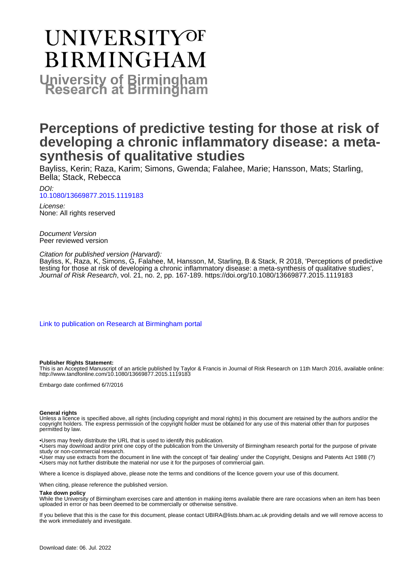# **UNIVERSITYOF BIRMINGHAM University of Birmingham**

# **Perceptions of predictive testing for those at risk of developing a chronic inflammatory disease: a metasynthesis of qualitative studies**

Bayliss, Kerin; Raza, Karim; Simons, Gwenda; Falahee, Marie; Hansson, Mats; Starling, Bella; Stack, Rebecca

DOI: [10.1080/13669877.2015.1119183](https://doi.org/10.1080/13669877.2015.1119183)

License: None: All rights reserved

Document Version Peer reviewed version

Citation for published version (Harvard):

Bayliss, K, Raza, K, Simons, G, Falahee, M, Hansson, M, Starling, B & Stack, R 2018, 'Perceptions of predictive testing for those at risk of developing a chronic inflammatory disease: a meta-synthesis of qualitative studies', Journal of Risk Research, vol. 21, no. 2, pp. 167-189.<https://doi.org/10.1080/13669877.2015.1119183>

[Link to publication on Research at Birmingham portal](https://birmingham.elsevierpure.com/en/publications/7beb31ea-31f0-450f-bfa3-5fe09b5f0149)

#### **Publisher Rights Statement:**

This is an Accepted Manuscript of an article published by Taylor & Francis in Journal of Risk Research on 11th March 2016, available online: http://www.tandfonline.com/10.1080/13669877.2015.1119183

Embargo date confirmed 6/7/2016

#### **General rights**

Unless a licence is specified above, all rights (including copyright and moral rights) in this document are retained by the authors and/or the copyright holders. The express permission of the copyright holder must be obtained for any use of this material other than for purposes permitted by law.

• Users may freely distribute the URL that is used to identify this publication.

• Users may download and/or print one copy of the publication from the University of Birmingham research portal for the purpose of private study or non-commercial research.

• User may use extracts from the document in line with the concept of 'fair dealing' under the Copyright, Designs and Patents Act 1988 (?) • Users may not further distribute the material nor use it for the purposes of commercial gain.

Where a licence is displayed above, please note the terms and conditions of the licence govern your use of this document.

When citing, please reference the published version.

#### **Take down policy**

While the University of Birmingham exercises care and attention in making items available there are rare occasions when an item has been uploaded in error or has been deemed to be commercially or otherwise sensitive.

If you believe that this is the case for this document, please contact UBIRA@lists.bham.ac.uk providing details and we will remove access to the work immediately and investigate.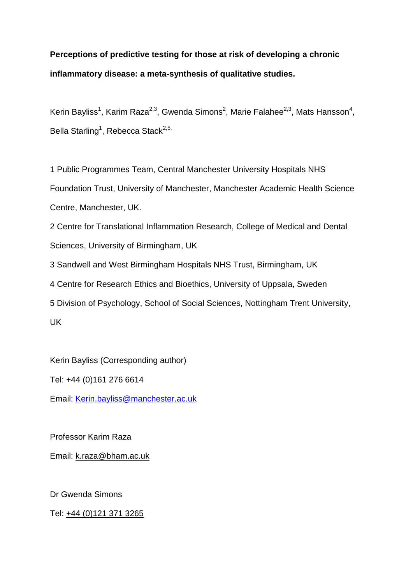# **Perceptions of predictive testing for those at risk of developing a chronic inflammatory disease: a meta-synthesis of qualitative studies.**

Kerin Bayliss<sup>1</sup>, Karim Raza<sup>2,3</sup>, Gwenda Simons<sup>2</sup>, Marie Falahee<sup>2,3</sup>, Mats Hansson<sup>4</sup>, Bella Starling<sup>1</sup>, Rebecca Stack<sup>2,5,</sup>

1 Public Programmes Team, Central Manchester University Hospitals NHS Foundation Trust, University of Manchester, Manchester Academic Health Science Centre, Manchester, UK.

2 Centre for Translational Inflammation Research, College of Medical and Dental Sciences, University of Birmingham, UK

3 Sandwell and West Birmingham Hospitals NHS Trust, Birmingham, UK

4 Centre for Research Ethics and Bioethics, University of Uppsala, Sweden

5 Division of Psychology, School of Social Sciences, Nottingham Trent University, UK

Kerin Bayliss (Corresponding author)

Tel: +44 (0)161 276 6614

Email: [Kerin.bayliss@manchester.ac.uk](mailto:Kerin.bayliss@manchester.ac.uk)

Professor Karim Raza

Email: [k.raza@bham.ac.uk](mailto:k.raza@bham.ac.uk)

Dr Gwenda Simons

Tel: [+44 \(0\)121 371 3265](tel:+44%20121%20371%203265)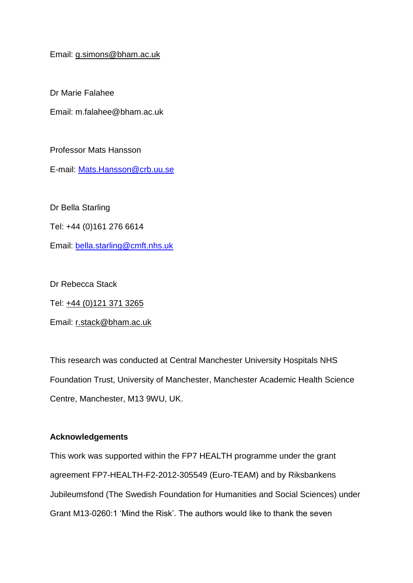#### Email: [g.simons@bham.ac.uk](mailto:g.simons@bham.ac.uk)

Dr Marie Falahee

Email: m.falahee@bham.ac.uk

Professor Mats Hansson

E-mail: [Mats.Hansson@crb.uu.se](mailto:mats.hansson@crb.uu.se)

Dr Bella Starling

Tel: +44 (0)161 276 6614

Email: [bella.starling@cmft.nhs.uk](mailto:bella.starling@cmft.nhs.uk)

Dr Rebecca Stack

Tel: [+44 \(0\)121 371 3265](tel:+44%20121%20371%203265)

Email: [r.stack@bham.ac.uk](mailto:r.stack@bham.ac.uk)

This research was conducted at Central Manchester University Hospitals NHS Foundation Trust, University of Manchester, Manchester Academic Health Science Centre, Manchester, M13 9WU, UK.

#### **Acknowledgements**

This work was supported within the FP7 HEALTH programme under the grant agreement FP7-HEALTH-F2-2012-305549 (Euro-TEAM) and by Riksbankens Jubileumsfond (The Swedish Foundation for Humanities and Social Sciences) under Grant M13-0260:1 'Mind the Risk'. The authors would like to thank the seven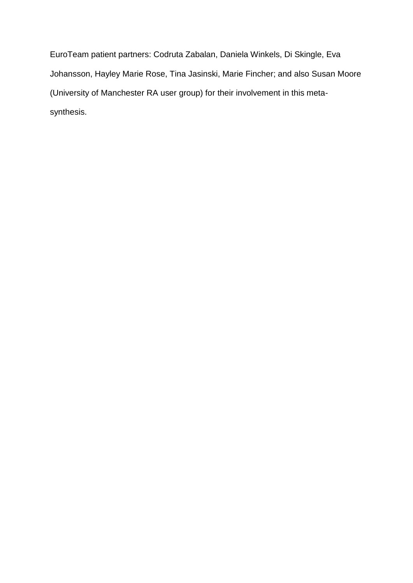EuroTeam patient partners: Codruta Zabalan, Daniela Winkels, Di Skingle, Eva Johansson, Hayley Marie Rose, Tina Jasinski, Marie Fincher; and also Susan Moore (University of Manchester RA user group) for their involvement in this metasynthesis.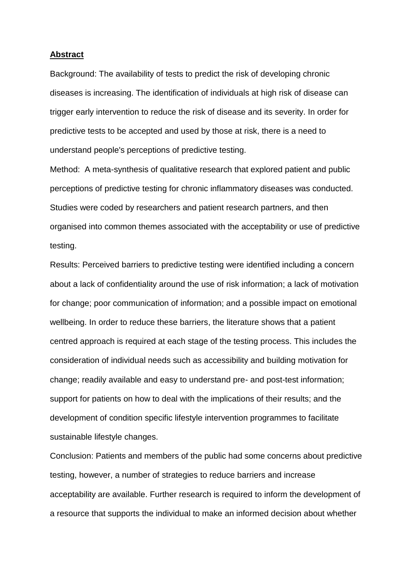#### **Abstract**

Background: The availability of tests to predict the risk of developing chronic diseases is increasing. The identification of individuals at high risk of disease can trigger early intervention to reduce the risk of disease and its severity. In order for predictive tests to be accepted and used by those at risk, there is a need to understand people's perceptions of predictive testing.

Method: A meta-synthesis of qualitative research that explored patient and public perceptions of predictive testing for chronic inflammatory diseases was conducted. Studies were coded by researchers and patient research partners, and then organised into common themes associated with the acceptability or use of predictive testing.

Results: Perceived barriers to predictive testing were identified including a concern about a lack of confidentiality around the use of risk information; a lack of motivation for change; poor communication of information; and a possible impact on emotional wellbeing. In order to reduce these barriers, the literature shows that a patient centred approach is required at each stage of the testing process. This includes the consideration of individual needs such as accessibility and building motivation for change; readily available and easy to understand pre- and post-test information; support for patients on how to deal with the implications of their results; and the development of condition specific lifestyle intervention programmes to facilitate sustainable lifestyle changes.

Conclusion: Patients and members of the public had some concerns about predictive testing, however, a number of strategies to reduce barriers and increase acceptability are available. Further research is required to inform the development of a resource that supports the individual to make an informed decision about whether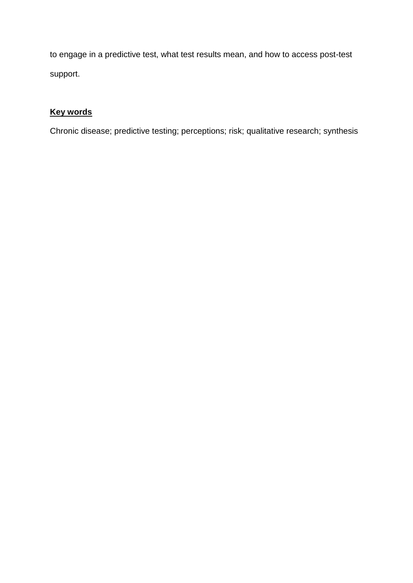to engage in a predictive test, what test results mean, and how to access post-test support.

### **Key words**

Chronic disease; predictive testing; perceptions; risk; qualitative research; synthesis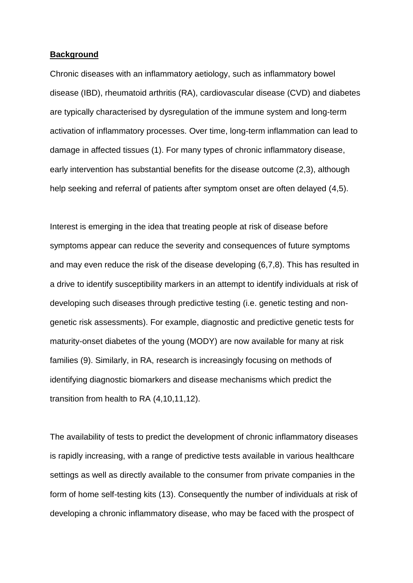#### **Background**

Chronic diseases with an inflammatory aetiology, such as inflammatory bowel disease (IBD), rheumatoid arthritis (RA), cardiovascular disease (CVD) and diabetes are typically characterised by dysregulation of the immune system and long-term activation of inflammatory processes. Over time, long-term inflammation can lead to damage in affected tissues (1). For many types of chronic inflammatory disease, early intervention has substantial benefits for the disease outcome (2,3), although help seeking and referral of patients after symptom onset are often delayed (4,5).

Interest is emerging in the idea that treating people at risk of disease before symptoms appear can reduce the severity and consequences of future symptoms and may even reduce the risk of the disease developing (6,7,8). This has resulted in a drive to identify susceptibility markers in an attempt to identify individuals at risk of developing such diseases through predictive testing (i.e. genetic testing and nongenetic risk assessments). For example, diagnostic and predictive genetic tests for maturity-onset diabetes of the young (MODY) are now available for many at risk families (9). Similarly, in RA, research is increasingly focusing on methods of identifying diagnostic biomarkers and disease mechanisms which predict the transition from health to RA (4,10,11,12).

The availability of tests to predict the development of chronic inflammatory diseases is rapidly increasing, with a range of predictive tests available in various healthcare settings as well as directly available to the consumer from private companies in the form of home self-testing kits (13). Consequently the number of individuals at risk of developing a chronic inflammatory disease, who may be faced with the prospect of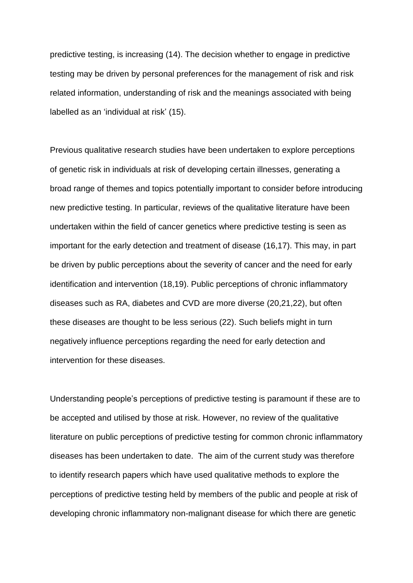predictive testing, is increasing (14). The decision whether to engage in predictive testing may be driven by personal preferences for the management of risk and risk related information, understanding of risk and the meanings associated with being labelled as an 'individual at risk' (15).

Previous qualitative research studies have been undertaken to explore perceptions of genetic risk in individuals at risk of developing certain illnesses, generating a broad range of themes and topics potentially important to consider before introducing new predictive testing. In particular, reviews of the qualitative literature have been undertaken within the field of cancer genetics where predictive testing is seen as important for the early detection and treatment of disease (16,17). This may, in part be driven by public perceptions about the severity of cancer and the need for early identification and intervention (18,19). Public perceptions of chronic inflammatory diseases such as RA, diabetes and CVD are more diverse (20,21,22), but often these diseases are thought to be less serious (22). Such beliefs might in turn negatively influence perceptions regarding the need for early detection and intervention for these diseases.

Understanding people's perceptions of predictive testing is paramount if these are to be accepted and utilised by those at risk. However, no review of the qualitative literature on public perceptions of predictive testing for common chronic inflammatory diseases has been undertaken to date. The aim of the current study was therefore to identify research papers which have used qualitative methods to explore the perceptions of predictive testing held by members of the public and people at risk of developing chronic inflammatory non-malignant disease for which there are genetic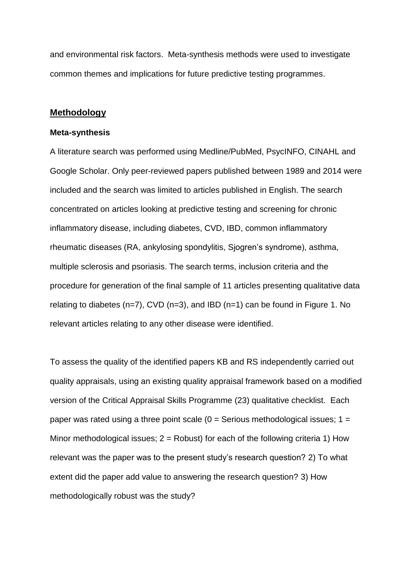and environmental risk factors. Meta-synthesis methods were used to investigate common themes and implications for future predictive testing programmes.

#### **Methodology**

#### **Meta-synthesis**

A literature search was performed using Medline/PubMed, PsycINFO, CINAHL and Google Scholar. Only peer-reviewed papers published between 1989 and 2014 were included and the search was limited to articles published in English. The search concentrated on articles looking at predictive testing and screening for chronic inflammatory disease, including diabetes, CVD, IBD, common inflammatory rheumatic diseases (RA, ankylosing spondylitis, Sjogren's syndrome), asthma, multiple sclerosis and psoriasis. The search terms, inclusion criteria and the procedure for generation of the final sample of 11 articles presenting qualitative data relating to diabetes ( $n=7$ ), CVD ( $n=3$ ), and IBD ( $n=1$ ) can be found in Figure 1. No relevant articles relating to any other disease were identified.

To assess the quality of the identified papers KB and RS independently carried out quality appraisals, using an existing quality appraisal framework based on a modified version of the Critical Appraisal Skills Programme (23) qualitative checklist. Each paper was rated using a three point scale  $(0 =$  Serious methodological issues;  $1 =$ Minor methodological issues;  $2 =$  Robust) for each of the following criteria 1) How relevant was the paper was to the present study's research question? 2) To what extent did the paper add value to answering the research question? 3) How methodologically robust was the study?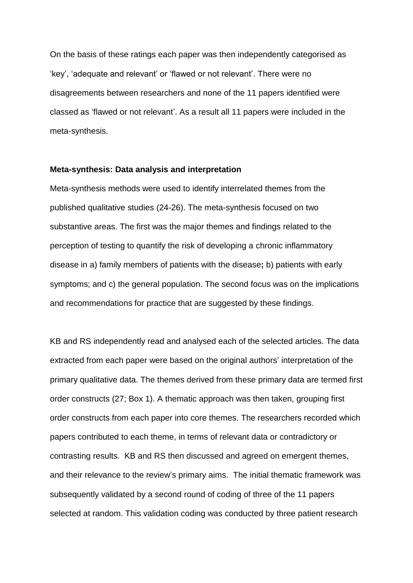On the basis of these ratings each paper was then independently categorised as 'key', 'adequate and relevant' or 'flawed or not relevant'. There were no disagreements between researchers and none of the 11 papers identified were classed as 'flawed or not relevant'. As a result all 11 papers were included in the meta-synthesis.

#### **Meta-synthesis: Data analysis and interpretation**

Meta-synthesis methods were used to identify interrelated themes from the published qualitative studies (24-26). The meta-synthesis focused on two substantive areas. The first was the major themes and findings related to the perception of testing to quantify the risk of developing a chronic inflammatory disease in a) family members of patients with the disease**;** b) patients with early symptoms; and c) the general population. The second focus was on the implications and recommendations for practice that are suggested by these findings.

KB and RS independently read and analysed each of the selected articles. The data extracted from each paper were based on the original authors' interpretation of the primary qualitative data. The themes derived from these primary data are termed first order constructs (27; Box 1). A thematic approach was then taken, grouping first order constructs from each paper into core themes. The researchers recorded which papers contributed to each theme, in terms of relevant data or contradictory or contrasting results. KB and RS then discussed and agreed on emergent themes, and their relevance to the review's primary aims. The initial thematic framework was subsequently validated by a second round of coding of three of the 11 papers selected at random. This validation coding was conducted by three patient research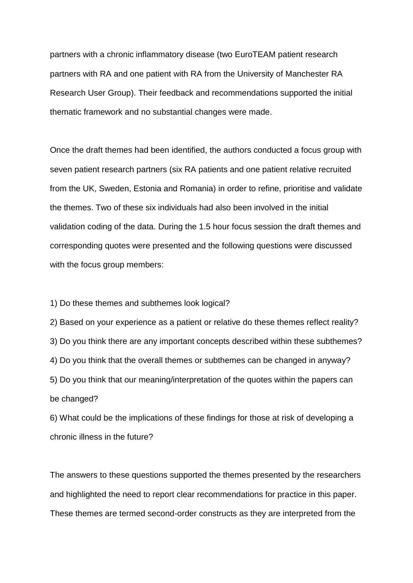partners with a chronic inflammatory disease (two EuroTEAM patient research partners with RA and one patient with RA from the University of Manchester RA Research User Group). Their feedback and recommendations supported the initial thematic framework and no substantial changes were made.

Once the draft themes had been identified, the authors conducted a focus group with seven patient research partners (six RA patients and one patient relative recruited from the UK, Sweden, Estonia and Romania) in order to refine, prioritise and validate the themes. Two of these six individuals had also been involved in the initial validation coding of the data. During the 1.5 hour focus session the draft themes and corresponding quotes were presented and the following questions were discussed with the focus group members:

1) Do these themes and subthemes look logical?

2) Based on your experience as a patient or relative do these themes reflect reality? 3) Do you think there are any important concepts described within these subthemes? 4) Do you think that the overall themes or subthemes can be changed in anyway? 5) Do you think that our meaning/interpretation of the quotes within the papers can be changed?

6) What could be the implications of these findings for those at risk of developing a chronic illness in the future?

The answers to these questions supported the themes presented by the researchers and highlighted the need to report clear recommendations for practice in this paper. These themes are termed second-order constructs as they are interpreted from the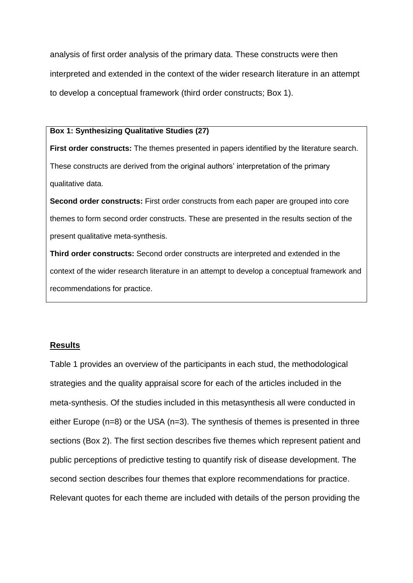analysis of first order analysis of the primary data. These constructs were then interpreted and extended in the context of the wider research literature in an attempt to develop a conceptual framework (third order constructs; Box 1).

#### **Box 1: Synthesizing Qualitative Studies (27)**

**First order constructs:** The themes presented in papers identified by the literature search. These constructs are derived from the original authors' interpretation of the primary qualitative data.

**Second order constructs:** First order constructs from each paper are grouped into core themes to form second order constructs. These are presented in the results section of the present qualitative meta-synthesis.

**Third order constructs:** Second order constructs are interpreted and extended in the context of the wider research literature in an attempt to develop a conceptual framework and recommendations for practice.

#### **Results**

Table 1 provides an overview of the participants in each stud, the methodological strategies and the quality appraisal score for each of the articles included in the meta-synthesis. Of the studies included in this metasynthesis all were conducted in either Europe (n=8) or the USA (n=3). The synthesis of themes is presented in three sections (Box 2). The first section describes five themes which represent patient and public perceptions of predictive testing to quantify risk of disease development. The second section describes four themes that explore recommendations for practice. Relevant quotes for each theme are included with details of the person providing the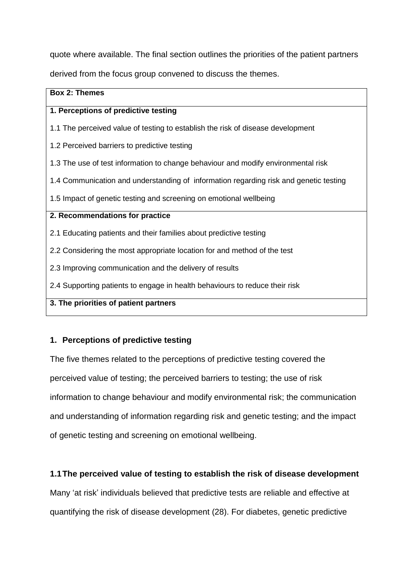quote where available. The final section outlines the priorities of the patient partners

derived from the focus group convened to discuss the themes.

# **Box 2: Themes 1. Perceptions of predictive testing** 1.1 The perceived value of testing to establish the risk of disease development 1.2 Perceived barriers to predictive testing 1.3 The use of test information to change behaviour and modify environmental risk 1.4 Communication and understanding of information regarding risk and genetic testing 1.5 Impact of genetic testing and screening on emotional wellbeing **2. Recommendations for practice** 2.1 Educating patients and their families about predictive testing 2.2 Considering the most appropriate location for and method of the test 2.3 Improving communication and the delivery of results 2.4 Supporting patients to engage in health behaviours to reduce their risk **3. The priorities of patient partners**

### **1. Perceptions of predictive testing**

The five themes related to the perceptions of predictive testing covered the perceived value of testing; the perceived barriers to testing; the use of risk information to change behaviour and modify environmental risk; the communication and understanding of information regarding risk and genetic testing; and the impact of genetic testing and screening on emotional wellbeing.

#### **1.1The perceived value of testing to establish the risk of disease development**

Many 'at risk' individuals believed that predictive tests are reliable and effective at quantifying the risk of disease development (28). For diabetes, genetic predictive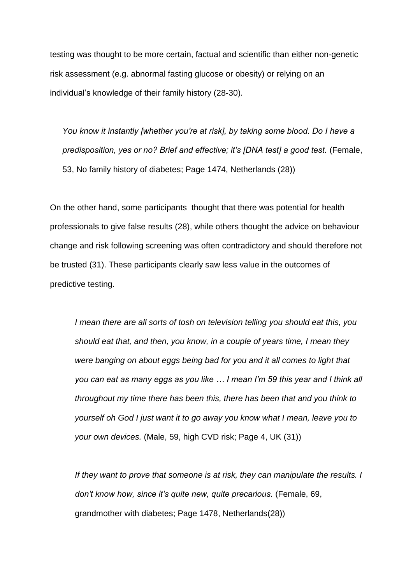testing was thought to be more certain, factual and scientific than either non-genetic risk assessment (e.g. abnormal fasting glucose or obesity) or relying on an individual's knowledge of their family history (28-30).

*You know it instantly [whether you're at risk], by taking some blood. Do I have a predisposition, yes or no? Brief and effective; it's [DNA test] a good test.* (Female, 53, No family history of diabetes; Page 1474, Netherlands (28))

On the other hand, some participants thought that there was potential for health professionals to give false results (28), while others thought the advice on behaviour change and risk following screening was often contradictory and should therefore not be trusted (31). These participants clearly saw less value in the outcomes of predictive testing.

*I mean there are all sorts of tosh on television telling you should eat this, you should eat that, and then, you know, in a couple of years time, I mean they were banging on about eggs being bad for you and it all comes to light that you can eat as many eggs as you like … I mean I'm 59 this year and I think all throughout my time there has been this, there has been that and you think to yourself oh God I just want it to go away you know what I mean, leave you to your own devices.* (Male, 59, high CVD risk; Page 4, UK (31))

*If they want to prove that someone is at risk, they can manipulate the results. I don't know how, since it's quite new, quite precarious.* (Female, 69, grandmother with diabetes; Page 1478, Netherlands(28))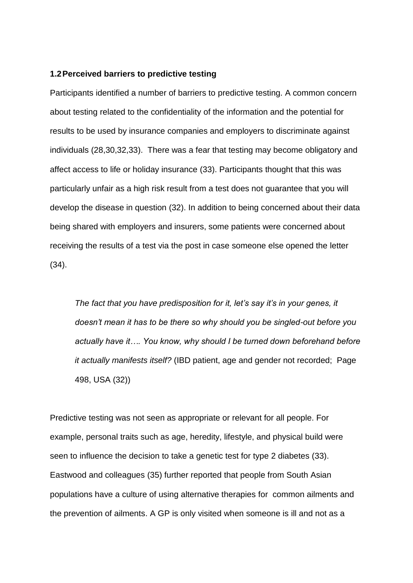#### **1.2Perceived barriers to predictive testing**

Participants identified a number of barriers to predictive testing. A common concern about testing related to the confidentiality of the information and the potential for results to be used by insurance companies and employers to discriminate against individuals (28,30,32,33). There was a fear that testing may become obligatory and affect access to life or holiday insurance (33). Participants thought that this was particularly unfair as a high risk result from a test does not guarantee that you will develop the disease in question (32). In addition to being concerned about their data being shared with employers and insurers, some patients were concerned about receiving the results of a test via the post in case someone else opened the letter (34).

*The fact that you have predisposition for it, let's say it's in your genes, it doesn't mean it has to be there so why should you be singled-out before you actually have it…. You know, why should I be turned down beforehand before it actually manifests itself?* (IBD patient, age and gender not recorded; Page 498, USA (32))

Predictive testing was not seen as appropriate or relevant for all people. For example, personal traits such as age, heredity, lifestyle, and physical build were seen to influence the decision to take a genetic test for type 2 diabetes (33). Eastwood and colleagues (35) further reported that people from South Asian populations have a culture of using alternative therapies for common ailments and the prevention of ailments. A GP is only visited when someone is ill and not as a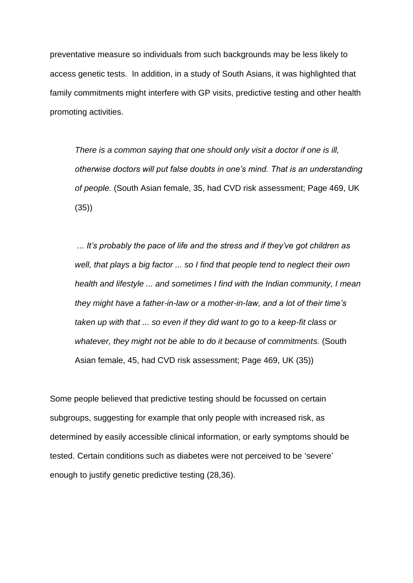preventative measure so individuals from such backgrounds may be less likely to access genetic tests. In addition, in a study of South Asians, it was highlighted that family commitments might interfere with GP visits, predictive testing and other health promoting activities.

*There is a common saying that one should only visit a doctor if one is ill, otherwise doctors will put false doubts in one's mind. That is an understanding of people.* (South Asian female, 35, had CVD risk assessment; Page 469, UK (35))

*... It's probably the pace of life and the stress and if they've got children as well, that plays a big factor ... so I find that people tend to neglect their own health and lifestyle ... and sometimes I find with the Indian community, I mean they might have a father-in-law or a mother-in-law, and a lot of their time's taken up with that ... so even if they did want to go to a keep-fit class or whatever, they might not be able to do it because of commitments.* (South Asian female, 45, had CVD risk assessment; Page 469, UK (35))

Some people believed that predictive testing should be focussed on certain subgroups, suggesting for example that only people with increased risk, as determined by easily accessible clinical information, or early symptoms should be tested. Certain conditions such as diabetes were not perceived to be 'severe' enough to justify genetic predictive testing (28,36).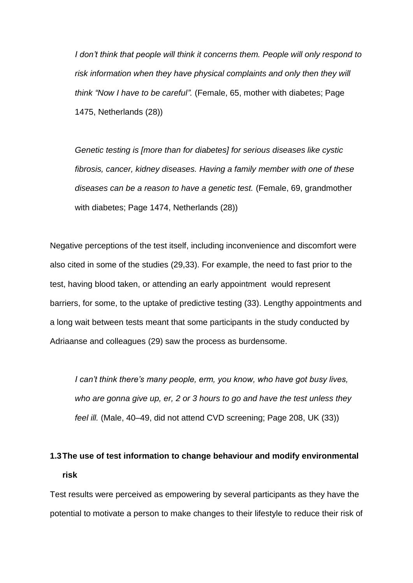*I* don't think that people will think it concerns them. People will only respond to *risk information when they have physical complaints and only then they will think "Now I have to be careful".* (Female, 65, mother with diabetes; Page 1475, Netherlands (28))

*Genetic testing is [more than for diabetes] for serious diseases like cystic fibrosis, cancer, kidney diseases. Having a family member with one of these diseases can be a reason to have a genetic test.* (Female, 69, grandmother with diabetes; Page 1474, Netherlands (28))

Negative perceptions of the test itself, including inconvenience and discomfort were also cited in some of the studies (29,33). For example, the need to fast prior to the test, having blood taken, or attending an early appointment would represent barriers, for some, to the uptake of predictive testing (33). Lengthy appointments and a long wait between tests meant that some participants in the study conducted by Adriaanse and colleagues (29) saw the process as burdensome.

*I can't think there's many people, erm, you know, who have got busy lives, who are gonna give up, er, 2 or 3 hours to go and have the test unless they feel ill.* (Male, 40–49, did not attend CVD screening; Page 208, UK (33))

# **1.3The use of test information to change behaviour and modify environmental risk**

Test results were perceived as empowering by several participants as they have the potential to motivate a person to make changes to their lifestyle to reduce their risk of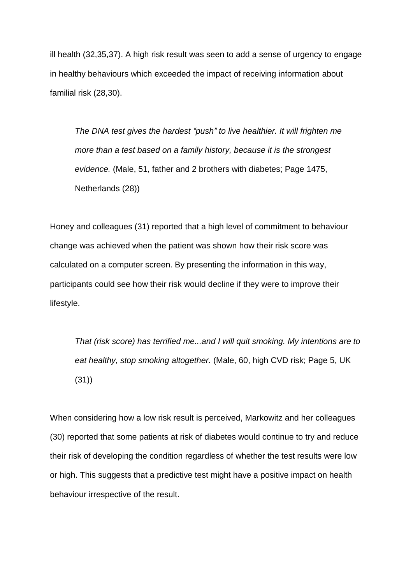ill health (32,35,37). A high risk result was seen to add a sense of urgency to engage in healthy behaviours which exceeded the impact of receiving information about familial risk (28,30).

*The DNA test gives the hardest "push" to live healthier. It will frighten me more than a test based on a family history, because it is the strongest evidence.* (Male, 51, father and 2 brothers with diabetes; Page 1475, Netherlands (28))

Honey and colleagues (31) reported that a high level of commitment to behaviour change was achieved when the patient was shown how their risk score was calculated on a computer screen. By presenting the information in this way, participants could see how their risk would decline if they were to improve their lifestyle.

*That (risk score) has terrified me...and I will quit smoking. My intentions are to eat healthy, stop smoking altogether.* (Male, 60, high CVD risk; Page 5, UK (31))

When considering how a low risk result is perceived, Markowitz and her colleagues (30) reported that some patients at risk of diabetes would continue to try and reduce their risk of developing the condition regardless of whether the test results were low or high. This suggests that a predictive test might have a positive impact on health behaviour irrespective of the result.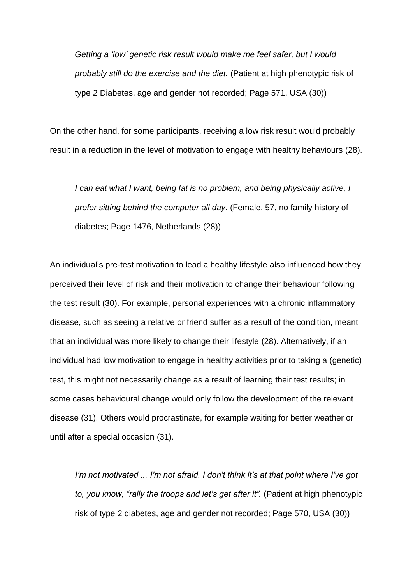*Getting a 'low' genetic risk result would make me feel safer, but I would probably still do the exercise and the diet.* (Patient at high phenotypic risk of type 2 Diabetes, age and gender not recorded; Page 571, USA (30))

On the other hand, for some participants, receiving a low risk result would probably result in a reduction in the level of motivation to engage with healthy behaviours (28).

*I can eat what I want, being fat is no problem, and being physically active, I prefer sitting behind the computer all day.* (Female, 57, no family history of diabetes; Page 1476, Netherlands (28))

An individual's pre-test motivation to lead a healthy lifestyle also influenced how they perceived their level of risk and their motivation to change their behaviour following the test result (30). For example, personal experiences with a chronic inflammatory disease, such as seeing a relative or friend suffer as a result of the condition, meant that an individual was more likely to change their lifestyle (28). Alternatively, if an individual had low motivation to engage in healthy activities prior to taking a (genetic) test, this might not necessarily change as a result of learning their test results; in some cases behavioural change would only follow the development of the relevant disease (31). Others would procrastinate, for example waiting for better weather or until after a special occasion (31).

*I'm not motivated ... I'm not afraid. I don't think it's at that point where I've got to, you know, "rally the troops and let's get after it".* (Patient at high phenotypic risk of type 2 diabetes, age and gender not recorded; Page 570, USA (30))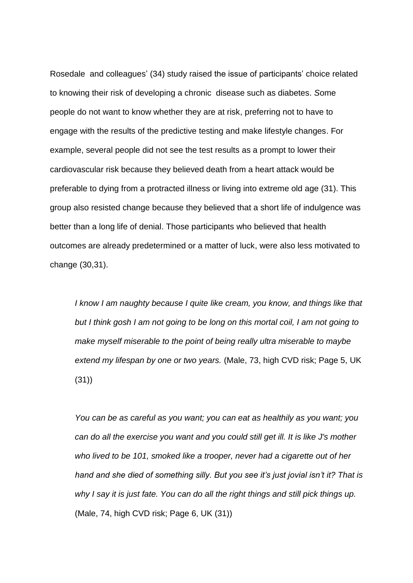Rosedale and colleagues' (34) study raised the issue of participants' choice related to knowing their risk of developing a chronic disease such as diabetes. *S*ome people do not want to know whether they are at risk, preferring not to have to engage with the results of the predictive testing and make lifestyle changes. For example, several people did not see the test results as a prompt to lower their cardiovascular risk because they believed death from a heart attack would be preferable to dying from a protracted illness or living into extreme old age (31). This group also resisted change because they believed that a short life of indulgence was better than a long life of denial. Those participants who believed that health outcomes are already predetermined or a matter of luck, were also less motivated to change (30,31).

*I know I am naughty because I quite like cream, you know, and things like that but I think gosh I am not going to be long on this mortal coil, I am not going to make myself miserable to the point of being really ultra miserable to maybe extend my lifespan by one or two years.* (Male, 73, high CVD risk; Page 5, UK (31))

*You can be as careful as you want; you can eat as healthily as you want; you can do all the exercise you want and you could still get ill. It is like J's mother who lived to be 101, smoked like a trooper, never had a cigarette out of her hand and she died of something silly. But you see it's just jovial isn't it? That is why I say it is just fate. You can do all the right things and still pick things up.*  (Male, 74, high CVD risk; Page 6, UK (31))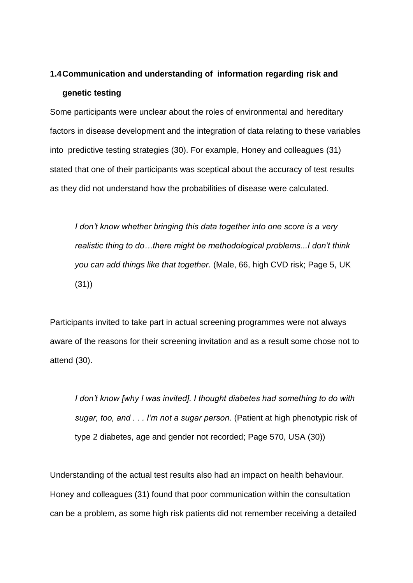## **1.4Communication and understanding of information regarding risk and genetic testing**

Some participants were unclear about the roles of environmental and hereditary factors in disease development and the integration of data relating to these variables into predictive testing strategies (30). For example, Honey and colleagues (31) stated that one of their participants was sceptical about the accuracy of test results as they did not understand how the probabilities of disease were calculated.

*I don't know whether bringing this data together into one score is a very realistic thing to do…there might be methodological problems...I don't think you can add things like that together.* (Male, 66, high CVD risk; Page 5, UK (31))

Participants invited to take part in actual screening programmes were not always aware of the reasons for their screening invitation and as a result some chose not to attend (30).

*I don't know [why I was invited]. I thought diabetes had something to do with sugar, too, and . . . I'm not a sugar person.* (Patient at high phenotypic risk of type 2 diabetes, age and gender not recorded; Page 570, USA (30))

Understanding of the actual test results also had an impact on health behaviour. Honey and colleagues (31) found that poor communication within the consultation can be a problem, as some high risk patients did not remember receiving a detailed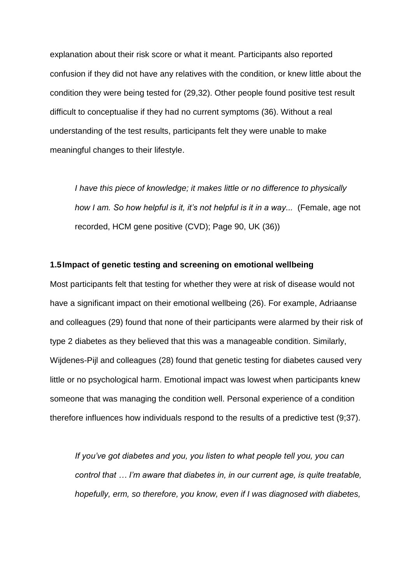explanation about their risk score or what it meant. Participants also reported confusion if they did not have any relatives with the condition, or knew little about the condition they were being tested for (29,32). Other people found positive test result difficult to conceptualise if they had no current symptoms (36). Without a real understanding of the test results, participants felt they were unable to make meaningful changes to their lifestyle.

*I have this piece of knowledge; it makes little or no difference to physically how I am. So how helpful is it, it's not helpful is it in a way...* (Female, age not recorded, HCM gene positive (CVD); Page 90, UK (36))

#### **1.5Impact of genetic testing and screening on emotional wellbeing**

Most participants felt that testing for whether they were at risk of disease would not have a significant impact on their emotional wellbeing (26). For example, Adriaanse and colleagues (29) found that none of their participants were alarmed by their risk of type 2 diabetes as they believed that this was a manageable condition. Similarly, Wijdenes-Pijl and colleagues (28) found that genetic testing for diabetes caused very little or no psychological harm. Emotional impact was lowest when participants knew someone that was managing the condition well. Personal experience of a condition therefore influences how individuals respond to the results of a predictive test (9;37).

*If you've got diabetes and you, you listen to what people tell you, you can control that … I'm aware that diabetes in, in our current age, is quite treatable, hopefully, erm, so therefore, you know, even if I was diagnosed with diabetes,*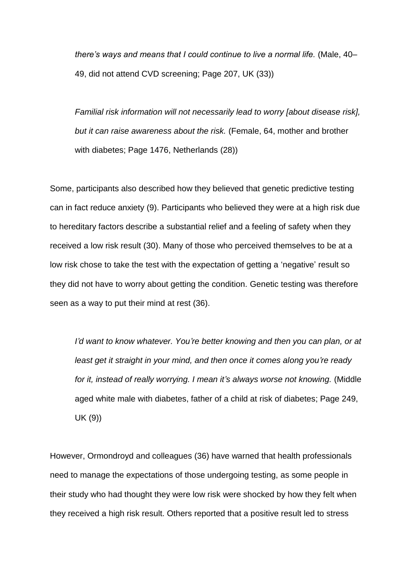*there's ways and means that I could continue to live a normal life.* (Male, 40– 49, did not attend CVD screening; Page 207, UK (33))

*Familial risk information will not necessarily lead to worry [about disease risk], but it can raise awareness about the risk.* (Female, 64, mother and brother with diabetes; Page 1476, Netherlands (28))

Some, participants also described how they believed that genetic predictive testing can in fact reduce anxiety (9). Participants who believed they were at a high risk due to hereditary factors describe a substantial relief and a feeling of safety when they received a low risk result (30). Many of those who perceived themselves to be at a low risk chose to take the test with the expectation of getting a 'negative' result so they did not have to worry about getting the condition. Genetic testing was therefore seen as a way to put their mind at rest (36).

*I'd want to know whatever. You're better knowing and then you can plan, or at least get it straight in your mind, and then once it comes along you're ready for it, instead of really worrying. I mean it's always worse not knowing.* (Middle aged white male with diabetes, father of a child at risk of diabetes; Page 249, UK (9))

However, Ormondroyd and colleagues (36) have warned that health professionals need to manage the expectations of those undergoing testing, as some people in their study who had thought they were low risk were shocked by how they felt when they received a high risk result. Others reported that a positive result led to stress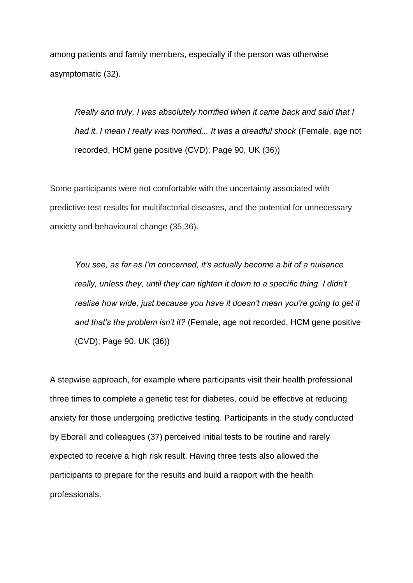among patients and family members, especially if the person was otherwise asymptomatic (32).

*Really and truly, I was absolutely horrified when it came back and said that I had it. I mean I really was horrified... It was a dreadful shock* (Female, age not recorded, HCM gene positive (CVD); Page 90, UK (36))

Some participants were not comfortable with the uncertainty associated with predictive test results for multifactorial diseases, and the potential for unnecessary anxiety and behavioural change (35,36).

*You see, as far as I'm concerned, it's actually become a bit of a nuisance*  really, unless they, until they can tighten it down to a specific thing. I didn't *realise how wide, just because you have it doesn't mean you're going to get it and that's the problem isn't it?* (Female, age not recorded, HCM gene positive (CVD); Page 90, UK (36))

A stepwise approach, for example where participants visit their health professional three times to complete a genetic test for diabetes, could be effective at reducing anxiety for those undergoing predictive testing. Participants in the study conducted by Eborall and colleagues (37) perceived initial tests to be routine and rarely expected to receive a high risk result. Having three tests also allowed the participants to prepare for the results and build a rapport with the health professionals.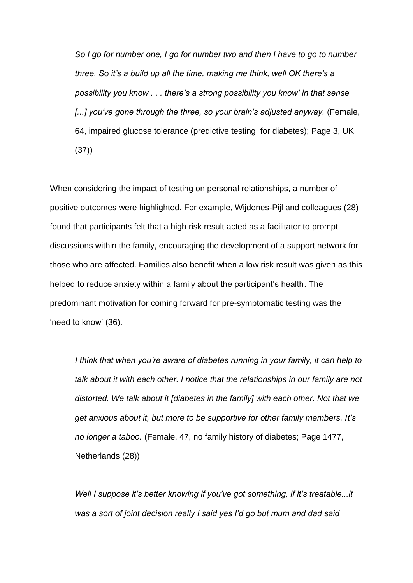*So I go for number one, I go for number two and then I have to go to number three. So it's a build up all the time, making me think, well OK there's a possibility you know . . . there's a strong possibility you know' in that sense [...] you've gone through the three, so your brain's adjusted anyway.* (Female, 64, impaired glucose tolerance (predictive testing for diabetes); Page 3, UK (37))

When considering the impact of testing on personal relationships, a number of positive outcomes were highlighted. For example, Wijdenes-Pijl and colleagues (28) found that participants felt that a high risk result acted as a facilitator to prompt discussions within the family, encouraging the development of a support network for those who are affected. Families also benefit when a low risk result was given as this helped to reduce anxiety within a family about the participant's health. The predominant motivation for coming forward for pre-symptomatic testing was the 'need to know' (36).

*I think that when you're aware of diabetes running in your family, it can help to talk about it with each other. I notice that the relationships in our family are not distorted. We talk about it [diabetes in the family] with each other. Not that we get anxious about it, but more to be supportive for other family members. It's no longer a taboo.* (Female, 47, no family history of diabetes; Page 1477, Netherlands (28))

*Well I suppose it's better knowing if you've got something, if it's treatable...it was a sort of joint decision really I said yes I'd go but mum and dad said*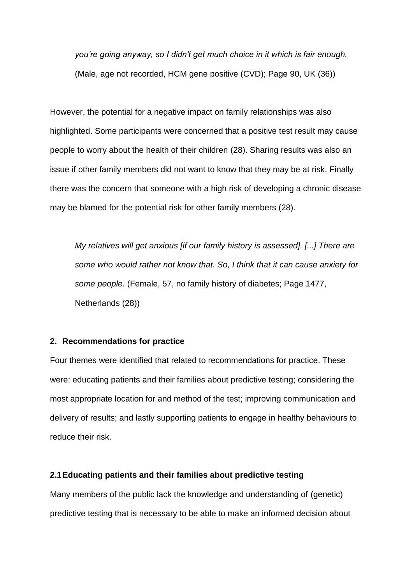*you're going anyway, so I didn't get much choice in it which is fair enough.* (Male, age not recorded, HCM gene positive (CVD); Page 90, UK (36))

However, the potential for a negative impact on family relationships was also highlighted. Some participants were concerned that a positive test result may cause people to worry about the health of their children (28). Sharing results was also an issue if other family members did not want to know that they may be at risk. Finally there was the concern that someone with a high risk of developing a chronic disease may be blamed for the potential risk for other family members (28).

*My relatives will get anxious [if our family history is assessed]. [...] There are some who would rather not know that. So, I think that it can cause anxiety for some people.* (Female, 57, no family history of diabetes; Page 1477, Netherlands (28))

#### **2. Recommendations for practice**

Four themes were identified that related to recommendations for practice. These were: educating patients and their families about predictive testing; considering the most appropriate location for and method of the test; improving communication and delivery of results; and lastly supporting patients to engage in healthy behaviours to reduce their risk.

#### **2.1Educating patients and their families about predictive testing**

Many members of the public lack the knowledge and understanding of (genetic) predictive testing that is necessary to be able to make an informed decision about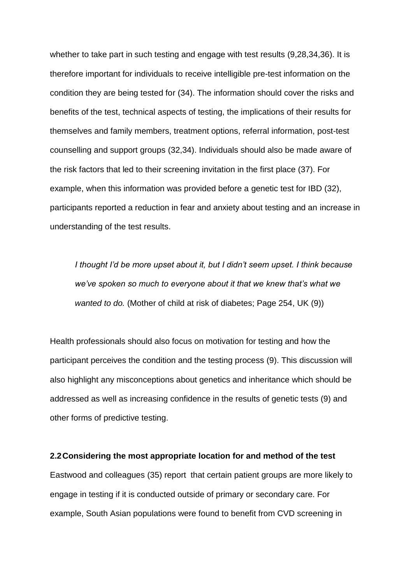whether to take part in such testing and engage with test results (9,28,34,36). It is therefore important for individuals to receive intelligible pre-test information on the condition they are being tested for (34). The information should cover the risks and benefits of the test, technical aspects of testing, the implications of their results for themselves and family members, treatment options, referral information, post-test counselling and support groups (32,34). Individuals should also be made aware of the risk factors that led to their screening invitation in the first place (37). For example, when this information was provided before a genetic test for IBD (32), participants reported a reduction in fear and anxiety about testing and an increase in understanding of the test results.

*I thought I'd be more upset about it, but I didn't seem upset. I think because we've spoken so much to everyone about it that we knew that's what we wanted to do.* (Mother of child at risk of diabetes; Page 254, UK (9))

Health professionals should also focus on motivation for testing and how the participant perceives the condition and the testing process (9). This discussion will also highlight any misconceptions about genetics and inheritance which should be addressed as well as increasing confidence in the results of genetic tests (9) and other forms of predictive testing.

#### **2.2Considering the most appropriate location for and method of the test**

Eastwood and colleagues (35) report that certain patient groups are more likely to engage in testing if it is conducted outside of primary or secondary care. For example, South Asian populations were found to benefit from CVD screening in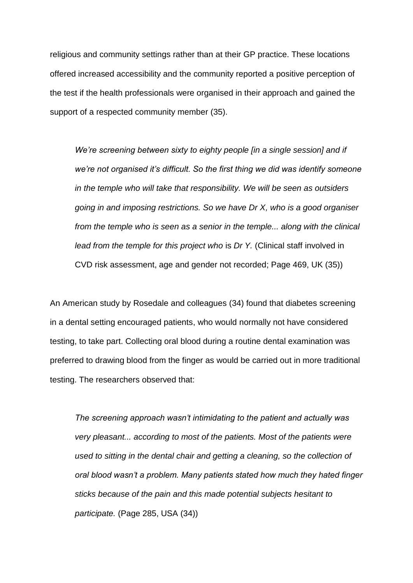religious and community settings rather than at their GP practice. These locations offered increased accessibility and the community reported a positive perception of the test if the health professionals were organised in their approach and gained the support of a respected community member (35).

*We're screening between sixty to eighty people [in a single session] and if we're not organised it's difficult. So the first thing we did was identify someone in the temple who will take that responsibility. We will be seen as outsiders going in and imposing restrictions. So we have Dr X, who is a good organiser from the temple who is seen as a senior in the temple... along with the clinical lead from the temple for this project who* is *Dr Y.* (Clinical staff involved in CVD risk assessment, age and gender not recorded; Page 469, UK (35))

An American study by Rosedale and colleagues (34) found that diabetes screening in a dental setting encouraged patients, who would normally not have considered testing, to take part. Collecting oral blood during a routine dental examination was preferred to drawing blood from the finger as would be carried out in more traditional testing. The researchers observed that:

*The screening approach wasn't intimidating to the patient and actually was very pleasant... according to most of the patients. Most of the patients were used to sitting in the dental chair and getting a cleaning, so the collection of oral blood wasn't a problem. Many patients stated how much they hated finger sticks because of the pain and this made potential subjects hesitant to participate.* (Page 285, USA (34))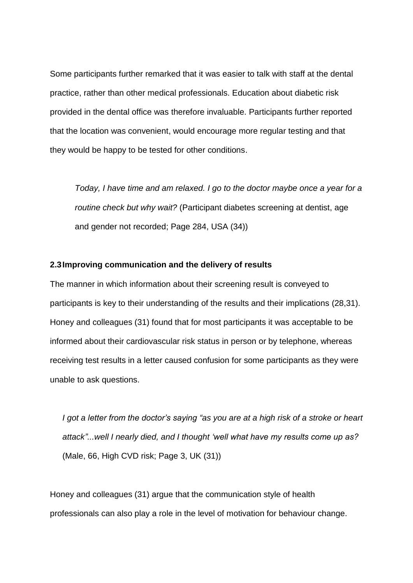Some participants further remarked that it was easier to talk with staff at the dental practice, rather than other medical professionals. Education about diabetic risk provided in the dental office was therefore invaluable. Participants further reported that the location was convenient, would encourage more regular testing and that they would be happy to be tested for other conditions.

*Today, I have time and am relaxed. I go to the doctor maybe once a year for a routine check but why wait?* (Participant diabetes screening at dentist, age and gender not recorded; Page 284, USA (34))

#### **2.3Improving communication and the delivery of results**

The manner in which information about their screening result is conveyed to participants is key to their understanding of the results and their implications (28,31). Honey and colleagues (31) found that for most participants it was acceptable to be informed about their cardiovascular risk status in person or by telephone, whereas receiving test results in a letter caused confusion for some participants as they were unable to ask questions.

*I got a letter from the doctor's saying "as you are at a high risk of a stroke or heart attack"...well I nearly died, and I thought 'well what have my results come up as?* (Male, 66, High CVD risk; Page 3, UK (31))

Honey and colleagues (31) argue that the communication style of health professionals can also play a role in the level of motivation for behaviour change.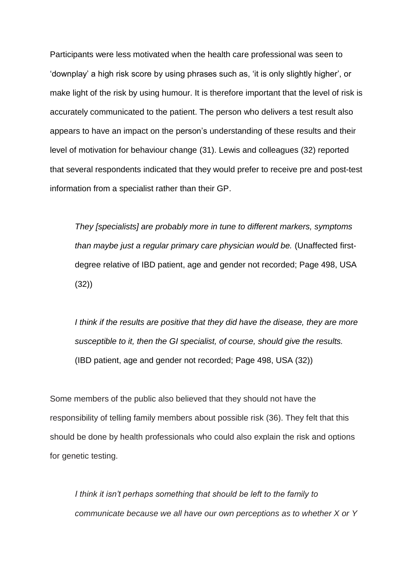Participants were less motivated when the health care professional was seen to 'downplay' a high risk score by using phrases such as, 'it is only slightly higher', or make light of the risk by using humour. It is therefore important that the level of risk is accurately communicated to the patient. The person who delivers a test result also appears to have an impact on the person's understanding of these results and their level of motivation for behaviour change (31). Lewis and colleagues (32) reported that several respondents indicated that they would prefer to receive pre and post-test information from a specialist rather than their GP.

*They [specialists] are probably more in tune to different markers, symptoms than maybe just a regular primary care physician would be.* (Unaffected firstdegree relative of IBD patient, age and gender not recorded; Page 498, USA (32))

*I think if the results are positive that they did have the disease, they are more susceptible to it, then the GI specialist, of course, should give the results.*  (IBD patient, age and gender not recorded; Page 498, USA (32))

Some members of the public also believed that they should not have the responsibility of telling family members about possible risk (36). They felt that this should be done by health professionals who could also explain the risk and options for genetic testing.

*I think it isn't perhaps something that should be left to the family to communicate because we all have our own perceptions as to whether X or Y*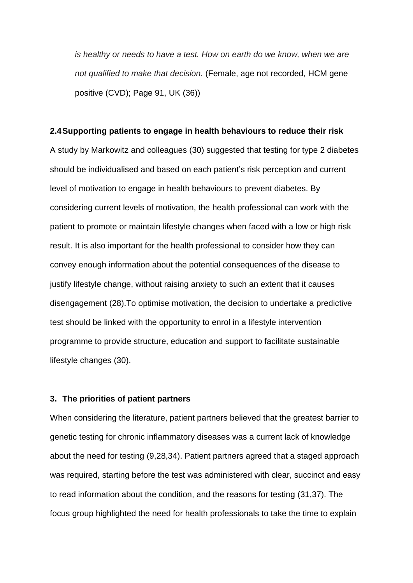*is healthy or needs to have a test. How on earth do we know, when we are not qualified to make that decision.* (Female, age not recorded, HCM gene positive (CVD); Page 91, UK (36))

#### **2.4Supporting patients to engage in health behaviours to reduce their risk**

A study by Markowitz and colleagues (30) suggested that testing for type 2 diabetes should be individualised and based on each patient's risk perception and current level of motivation to engage in health behaviours to prevent diabetes. By considering current levels of motivation, the health professional can work with the patient to promote or maintain lifestyle changes when faced with a low or high risk result. It is also important for the health professional to consider how they can convey enough information about the potential consequences of the disease to justify lifestyle change, without raising anxiety to such an extent that it causes disengagement (28).To optimise motivation, the decision to undertake a predictive test should be linked with the opportunity to enrol in a lifestyle intervention programme to provide structure, education and support to facilitate sustainable lifestyle changes (30).

#### **3. The priorities of patient partners**

When considering the literature, patient partners believed that the greatest barrier to genetic testing for chronic inflammatory diseases was a current lack of knowledge about the need for testing (9,28,34). Patient partners agreed that a staged approach was required, starting before the test was administered with clear, succinct and easy to read information about the condition, and the reasons for testing (31,37). The focus group highlighted the need for health professionals to take the time to explain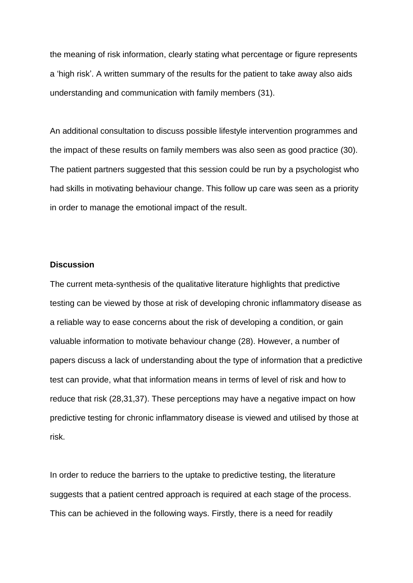the meaning of risk information, clearly stating what percentage or figure represents a 'high risk'. A written summary of the results for the patient to take away also aids understanding and communication with family members (31).

An additional consultation to discuss possible lifestyle intervention programmes and the impact of these results on family members was also seen as good practice (30). The patient partners suggested that this session could be run by a psychologist who had skills in motivating behaviour change. This follow up care was seen as a priority in order to manage the emotional impact of the result.

#### **Discussion**

The current meta-synthesis of the qualitative literature highlights that predictive testing can be viewed by those at risk of developing chronic inflammatory disease as a reliable way to ease concerns about the risk of developing a condition, or gain valuable information to motivate behaviour change (28). However, a number of papers discuss a lack of understanding about the type of information that a predictive test can provide, what that information means in terms of level of risk and how to reduce that risk (28,31,37). These perceptions may have a negative impact on how predictive testing for chronic inflammatory disease is viewed and utilised by those at risk.

In order to reduce the barriers to the uptake to predictive testing, the literature suggests that a patient centred approach is required at each stage of the process. This can be achieved in the following ways. Firstly, there is a need for readily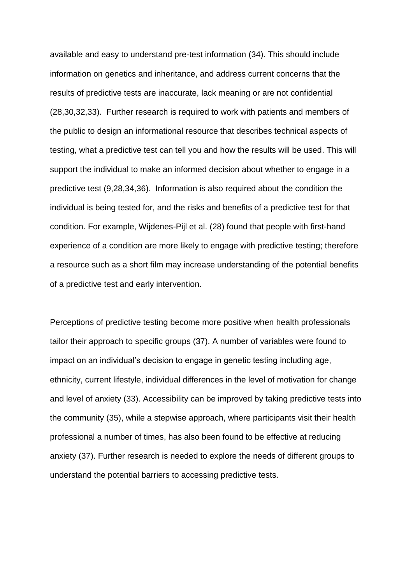available and easy to understand pre-test information (34). This should include information on genetics and inheritance, and address current concerns that the results of predictive tests are inaccurate, lack meaning or are not confidential (28,30,32,33). Further research is required to work with patients and members of the public to design an informational resource that describes technical aspects of testing, what a predictive test can tell you and how the results will be used. This will support the individual to make an informed decision about whether to engage in a predictive test (9,28,34,36). Information is also required about the condition the individual is being tested for, and the risks and benefits of a predictive test for that condition. For example, Wijdenes-Pijl et al. (28) found that people with first-hand experience of a condition are more likely to engage with predictive testing; therefore a resource such as a short film may increase understanding of the potential benefits of a predictive test and early intervention.

Perceptions of predictive testing become more positive when health professionals tailor their approach to specific groups (37). A number of variables were found to impact on an individual's decision to engage in genetic testing including age, ethnicity, current lifestyle, individual differences in the level of motivation for change and level of anxiety (33). Accessibility can be improved by taking predictive tests into the community (35), while a stepwise approach, where participants visit their health professional a number of times, has also been found to be effective at reducing anxiety (37). Further research is needed to explore the needs of different groups to understand the potential barriers to accessing predictive tests.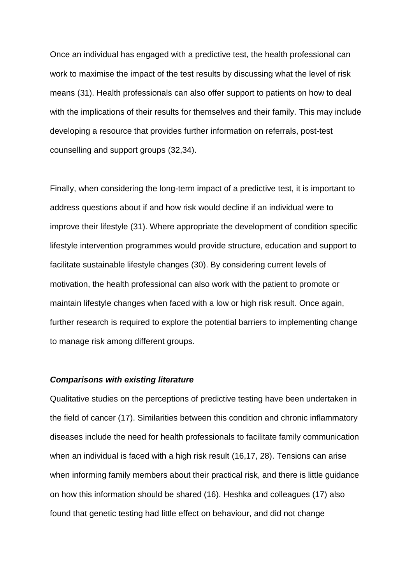Once an individual has engaged with a predictive test, the health professional can work to maximise the impact of the test results by discussing what the level of risk means (31). Health professionals can also offer support to patients on how to deal with the implications of their results for themselves and their family. This may include developing a resource that provides further information on referrals, post-test counselling and support groups (32,34).

Finally, when considering the long-term impact of a predictive test, it is important to address questions about if and how risk would decline if an individual were to improve their lifestyle (31). Where appropriate the development of condition specific lifestyle intervention programmes would provide structure, education and support to facilitate sustainable lifestyle changes (30). By considering current levels of motivation, the health professional can also work with the patient to promote or maintain lifestyle changes when faced with a low or high risk result. Once again, further research is required to explore the potential barriers to implementing change to manage risk among different groups.

#### *Comparisons with existing literature*

Qualitative studies on the perceptions of predictive testing have been undertaken in the field of cancer (17). Similarities between this condition and chronic inflammatory diseases include the need for health professionals to facilitate family communication when an individual is faced with a high risk result (16,17, 28). Tensions can arise when informing family members about their practical risk, and there is little guidance on how this information should be shared (16). Heshka and colleagues (17) also found that genetic testing had little effect on behaviour, and did not change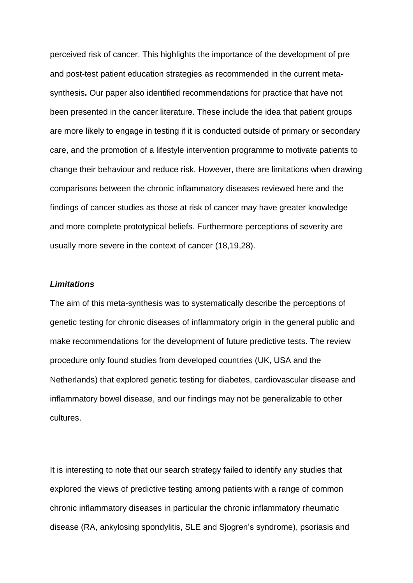perceived risk of cancer. This highlights the importance of the development of pre and post-test patient education strategies as recommended in the current metasynthesis**.** Our paper also identified recommendations for practice that have not been presented in the cancer literature. These include the idea that patient groups are more likely to engage in testing if it is conducted outside of primary or secondary care, and the promotion of a lifestyle intervention programme to motivate patients to change their behaviour and reduce risk. However, there are limitations when drawing comparisons between the chronic inflammatory diseases reviewed here and the findings of cancer studies as those at risk of cancer may have greater knowledge and more complete prototypical beliefs. Furthermore perceptions of severity are usually more severe in the context of cancer (18,19,28).

#### *Limitations*

The aim of this meta-synthesis was to systematically describe the perceptions of genetic testing for chronic diseases of inflammatory origin in the general public and make recommendations for the development of future predictive tests. The review procedure only found studies from developed countries (UK, USA and the Netherlands) that explored genetic testing for diabetes, cardiovascular disease and inflammatory bowel disease, and our findings may not be generalizable to other cultures.

It is interesting to note that our search strategy failed to identify any studies that explored the views of predictive testing among patients with a range of common chronic inflammatory diseases in particular the chronic inflammatory rheumatic disease (RA, ankylosing spondylitis, SLE and Sjogren's syndrome), psoriasis and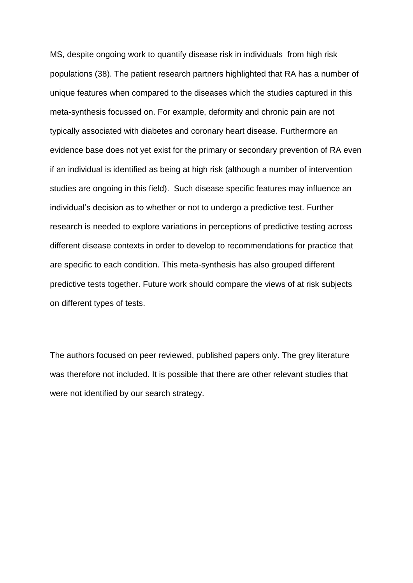MS, despite ongoing work to quantify disease risk in individuals from high risk populations (38). The patient research partners highlighted that RA has a number of unique features when compared to the diseases which the studies captured in this meta-synthesis focussed on. For example, deformity and chronic pain are not typically associated with diabetes and coronary heart disease. Furthermore an evidence base does not yet exist for the primary or secondary prevention of RA even if an individual is identified as being at high risk (although a number of intervention studies are ongoing in this field). Such disease specific features may influence an individual's decision as to whether or not to undergo a predictive test. Further research is needed to explore variations in perceptions of predictive testing across different disease contexts in order to develop to recommendations for practice that are specific to each condition. This meta-synthesis has also grouped different predictive tests together. Future work should compare the views of at risk subjects on different types of tests.

The authors focused on peer reviewed, published papers only. The grey literature was therefore not included. It is possible that there are other relevant studies that were not identified by our search strategy.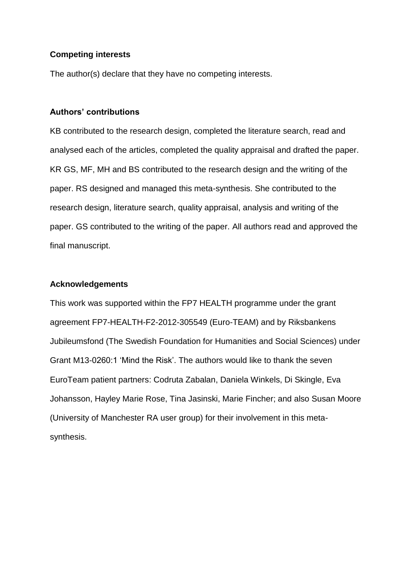#### **Competing interests**

The author(s) declare that they have no competing interests.

#### **Authors' contributions**

KB contributed to the research design, completed the literature search, read and analysed each of the articles, completed the quality appraisal and drafted the paper. KR GS, MF, MH and BS contributed to the research design and the writing of the paper. RS designed and managed this meta-synthesis. She contributed to the research design, literature search, quality appraisal, analysis and writing of the paper. GS contributed to the writing of the paper. All authors read and approved the final manuscript.

#### **Acknowledgements**

This work was supported within the FP7 HEALTH programme under the grant agreement FP7-HEALTH-F2-2012-305549 (Euro-TEAM) and by Riksbankens Jubileumsfond (The Swedish Foundation for Humanities and Social Sciences) under Grant M13-0260:1 'Mind the Risk'. The authors would like to thank the seven EuroTeam patient partners: Codruta Zabalan, Daniela Winkels, Di Skingle, Eva Johansson, Hayley Marie Rose, Tina Jasinski, Marie Fincher; and also Susan Moore (University of Manchester RA user group) for their involvement in this metasynthesis.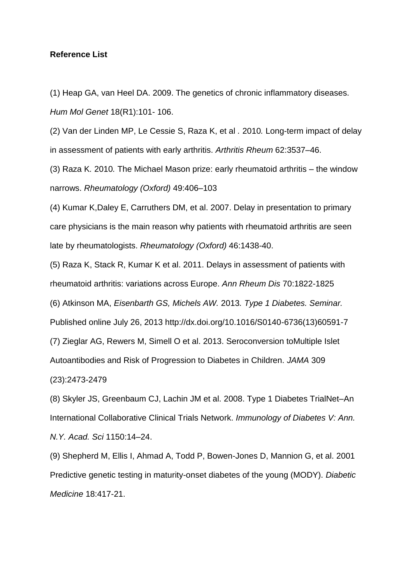#### **Reference List**

(1) Heap GA, van Heel DA. 2009. The genetics of chronic inflammatory diseases. *Hum Mol Genet* 18(R1):101- 106.

(2) Van der Linden MP, Le Cessie S, Raza K, et al *.* 2010*.* Long-term impact of delay in assessment of patients with early arthritis. *Arthritis Rheum* 62:3537–46.

(3) Raza K*.* 2010*.* The Michael Mason prize: early rheumatoid arthritis – the window narrows. *Rheumatology (Oxford)* 49:406–103

(4) Kumar K,Daley E, Carruthers DM, et al. 2007. Delay in presentation to primary care physicians is the main reason why patients with rheumatoid arthritis are seen late by rheumatologists. *Rheumatology (Oxford)* 46:1438-40.

(5) Raza K, Stack R, Kumar K et al. 2011. [Delays in assessment of patients with](http://ard.bmj.com/content/70/10/1822.short)  [rheumatoid arthritis: variations across Europe.](http://ard.bmj.com/content/70/10/1822.short) *Ann Rheum Dis* 70:1822-1825

(6) Atkinson MA, *Eisenbarth GS, Michels AW.* 2013*. Type 1 Diabetes. Seminar.* 

Published online July 26, 2013 http://dx.doi.org/10.1016/S0140-6736(13)60591-7

(7) Zieglar AG, Rewers M, Simell O et al. 2013. Seroconversion toMultiple Islet

Autoantibodies and Risk of Progression to Diabetes in Children. *JAMA* 309

(23):2473-2479

(8) Skyler JS, Greenbaum CJ, Lachin JM et al. 2008. Type 1 Diabetes TrialNet–An International Collaborative Clinical Trials Network. *Immunology of Diabetes V: Ann. N.Y. Acad. Sci* 1150:14–24.

(9) Shepherd M, Ellis I, Ahmad A, Todd P, Bowen-Jones D, Mannion G, et al. 2001 Predictive genetic testing in maturity-onset diabetes of the young (MODY). *Diabetic Medicine* 18:417-21.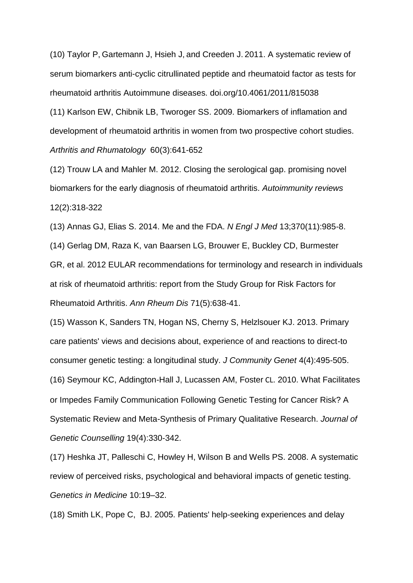(10) [Taylor](http://www.hindawi.com/42021637/) P, [Gartemann](http://www.hindawi.com/72145346/) J, [Hsieh](http://www.hindawi.com/21583434/) J, and [Creeden](http://www.hindawi.com/46065405/) J. 2011. A systematic review of serum biomarkers anti-cyclic citrullinated peptide and rheumatoid factor as tests for rheumatoid arthritis Autoimmune diseases. [doi.org/10.4061/2011/815038](http://dx.doi.org/10.4061/2011/815038)

(11) Karlson EW, Chibnik LB, Tworoger SS. 2009. Biomarkers of inflamation and development of rheumatoid arthritis in women from two prospective cohort studies. *Arthritis and Rhumatology* 60(3):641-652

(12) Trouw LA and Mahler M. 2012. Closing the serological gap. promising novel biomarkers for the early diagnosis of rheumatoid arthritis. *Autoimmunity reviews* 12(2):318-322

(13) Annas GJ, Elias S. 2014. Me and the FDA. *N Engl J Med* 13;370(11):985-8.

(14) Gerlag DM, Raza K, van Baarsen LG, Brouwer E, Buckley CD, Burmester GR, et al. 2012 EULAR recommendations for terminology and research in individuals at risk of rheumatoid arthritis: report from the Study Group for Risk Factors for Rheumatoid Arthritis. *Ann Rheum Dis* 71(5):638-41.

(15) Wasson K, Sanders TN, Hogan NS, Cherny S, Helzlsouer KJ. 2013. Primary care patients' views and decisions about, experience of and reactions to direct-to consumer genetic testing: a longitudinal study. *J Community Genet* 4(4):495-505. (16) [Seymour](http://link.springer.com/search?facet-author=%22Kim+Chivers+Seymour%22) KC, [Addington-Hall](http://link.springer.com/search?facet-author=%22Julia+Addington-Hall%22) J, Lucassen AM, [Foster](http://link.springer.com/search?facet-author=%22Claire+L.+Foster%22) CL. 2010. What Facilitates or Impedes Family Communication Following Genetic Testing for Cancer Risk? A Systematic Review and Meta-Synthesis of Primary Qualitative Research. *Journal of Genetic Counselling* 19(4):330-342.

(17) Heshka JT, Palleschi C, Howley H, Wilson B and Wells PS. 2008. A systematic review of perceived risks, psychological and behavioral impacts of genetic testing. *Genetics in Medicine* 10:19–32.

(18) Smith LK, Pope C, BJ. 2005. Patients' help-seeking experiences and delay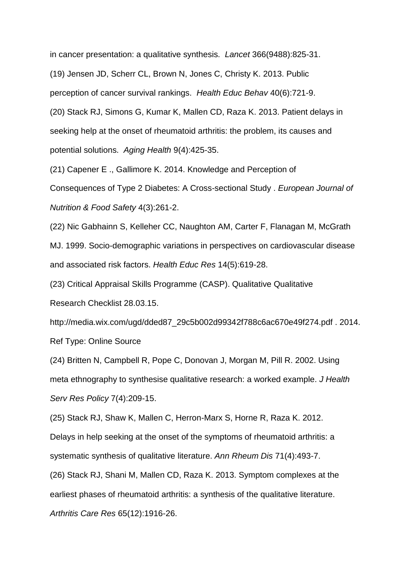in cancer presentation: a qualitative synthesis. *Lancet* 366(9488):825-31.

(19) Jensen JD, Scherr CL, Brown N, Jones C, Christy K. 2013. Public

perception of cancer survival rankings. *Health Educ Behav* 40(6):721-9.

(20) Stack RJ, Simons G, Kumar K, Mallen CD, Raza K. 2013. Patient delays in seeking help at the onset of rheumatoid arthritis: the problem, its causes and potential solutions. *Aging Health* 9(4):425-35.

(21) Capener E ., Gallimore K. 2014. Knowledge and Perception of

Consequences of Type 2 Diabetes: A Cross-sectional Study . *European Journal of Nutrition & Food Safety* 4(3):261-2.

(22) Nic Gabhainn S, Kelleher CC, Naughton AM, Carter F, Flanagan M, McGrath MJ. 1999. Socio-demographic variations in perspectives on cardiovascular disease and associated risk factors. *Health Educ Res* 14(5):619-28.

(23) Critical Appraisal Skills Programme (CASP). Qualitative Qualitative Research Checklist 28.03.15.

http://media.wix.com/ugd/dded87\_29c5b002d99342f788c6ac670e49f274.pdf . 2014. Ref Type: Online Source

(24) Britten N, Campbell R, Pope C, Donovan J, Morgan M, Pill R. 2002. Using meta ethnography to synthesise qualitative research: a worked example. *J Health Serv Res Policy* 7(4):209-15.

(25) Stack RJ, Shaw K, Mallen C, Herron-Marx S, Horne R, Raza K. 2012.

Delays in help seeking at the onset of the symptoms of rheumatoid arthritis: a systematic synthesis of qualitative literature. *Ann Rheum Dis* 71(4):493-7.

(26) Stack RJ, Shani M, Mallen CD, Raza K. 2013. Symptom complexes at the earliest phases of rheumatoid arthritis: a synthesis of the qualitative literature. *Arthritis Care Res* 65(12):1916-26.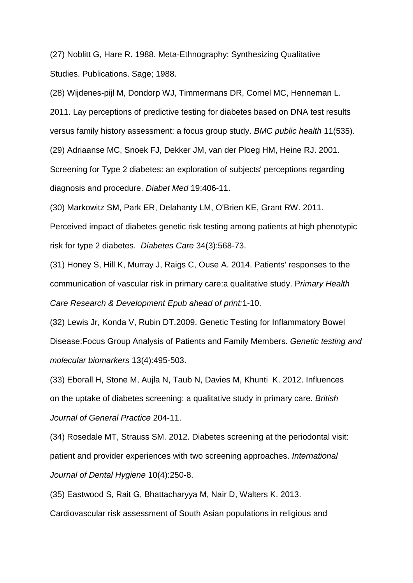(27) Noblitt G, Hare R. 1988. Meta-Ethnography: Synthesizing Qualitative Studies. Publications. Sage; 1988.

(28) Wijdenes-pijl M, Dondorp WJ, Timmermans DR, Cornel MC, Henneman L. 2011. Lay perceptions of predictive testing for diabetes based on DNA test results versus family history assessment: a focus group study. *BMC public health* 11(535).

(29) Adriaanse MC, Snoek FJ, Dekker JM, van der Ploeg HM, Heine RJ. 2001.

Screening for Type 2 diabetes: an exploration of subjects' perceptions regarding diagnosis and procedure. *Diabet Med* 19:406-11.

(30) Markowitz SM, Park ER, Delahanty LM, O'Brien KE, Grant RW. 2011.

Perceived impact of diabetes genetic risk testing among patients at high phenotypic risk for type 2 diabetes. *Diabetes Care* 34(3):568-73.

(31) Honey S, Hill K, Murray J, Raigs C, Ouse A. 2014. Patients' responses to the communication of vascular risk in primary care:a qualitative study. P*rimary Health Care Research & Development Epub ahead of print:*1-10.

(32) Lewis Jr, Konda V, Rubin DT.2009. Genetic Testing for Inflammatory Bowel Disease:Focus Group Analysis of Patients and Family Members. *Genetic testing and molecular biomarkers* 13(4):495-503.

(33) Eborall H, Stone M, Aujla N, Taub N, Davies M, Khunti K. 2012. Influences on the uptake of diabetes screening: a qualitative study in primary care. *British Journal of General Practice* 204-11.

(34) Rosedale MT, Strauss SM. 2012. Diabetes screening at the periodontal visit: patient and provider experiences with two screening approaches. *International Journal of Dental Hygiene* 10(4):250-8.

(35) Eastwood S, Rait G, Bhattacharyya M, Nair D, Walters K. 2013.

Cardiovascular risk assessment of South Asian populations in religious and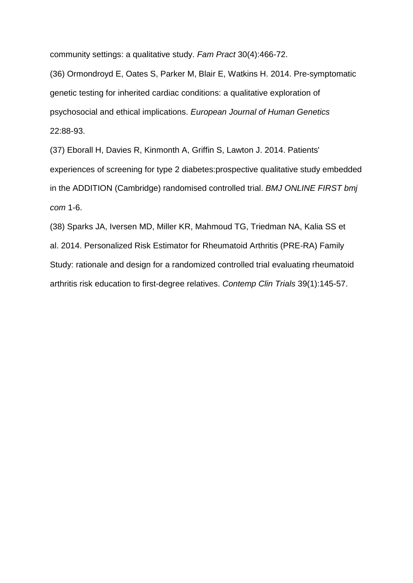community settings: a qualitative study. *Fam Pract* 30(4):466-72.

(36) Ormondroyd E, Oates S, Parker M, Blair E, Watkins H. 2014. Pre-symptomatic genetic testing for inherited cardiac conditions: a qualitative exploration of psychosocial and ethical implications. *European Journal of Human Genetics* 22:88-93.

(37) Eborall H, Davies R, Kinmonth A, Griffin S, Lawton J. 2014. Patients' experiences of screening for type 2 diabetes:prospective qualitative study embedded in the ADDITION (Cambridge) randomised controlled trial. *BMJ ONLINE FIRST bmj com* 1-6.

(38) Sparks JA, Iversen MD, Miller KR, Mahmoud TG, Triedman NA, Kalia SS et al. 2014. Personalized Risk Estimator for Rheumatoid Arthritis (PRE-RA) Family Study: rationale and design for a randomized controlled trial evaluating rheumatoid arthritis risk education to first-degree relatives. *Contemp Clin Trials* 39(1):145-57.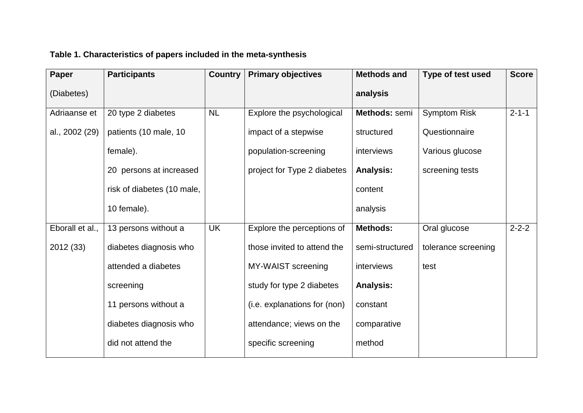| Table 1. Characteristics of papers included in the meta-synthesis |  |  |
|-------------------------------------------------------------------|--|--|
|-------------------------------------------------------------------|--|--|

| Paper           | <b>Participants</b>        | <b>Country</b> | <b>Primary objectives</b>    | <b>Methods and</b> | <b>Type of test used</b> | <b>Score</b> |
|-----------------|----------------------------|----------------|------------------------------|--------------------|--------------------------|--------------|
| (Diabetes)      |                            |                |                              | analysis           |                          |              |
| Adriaanse et    | 20 type 2 diabetes         | <b>NL</b>      | Explore the psychological    | Methods: semi      | <b>Symptom Risk</b>      | $2 - 1 - 1$  |
| al., 2002 (29)  | patients (10 male, 10      |                | impact of a stepwise         | structured         | Questionnaire            |              |
|                 | female).                   |                | population-screening         | interviews         | Various glucose          |              |
|                 | 20 persons at increased    |                | project for Type 2 diabetes  | <b>Analysis:</b>   | screening tests          |              |
|                 | risk of diabetes (10 male, |                |                              | content            |                          |              |
|                 | 10 female).                |                |                              | analysis           |                          |              |
| Eborall et al., | 13 persons without a       | <b>UK</b>      | Explore the perceptions of   | <b>Methods:</b>    | Oral glucose             | $2 - 2 - 2$  |
| 2012 (33)       | diabetes diagnosis who     |                | those invited to attend the  | semi-structured    | tolerance screening      |              |
|                 | attended a diabetes        |                | MY-WAIST screening           | interviews         | test                     |              |
|                 | screening                  |                | study for type 2 diabetes    | <b>Analysis:</b>   |                          |              |
|                 | 11 persons without a       |                | (i.e. explanations for (non) | constant           |                          |              |
|                 | diabetes diagnosis who     |                | attendance; views on the     | comparative        |                          |              |
|                 | did not attend the         |                | specific screening           | method             |                          |              |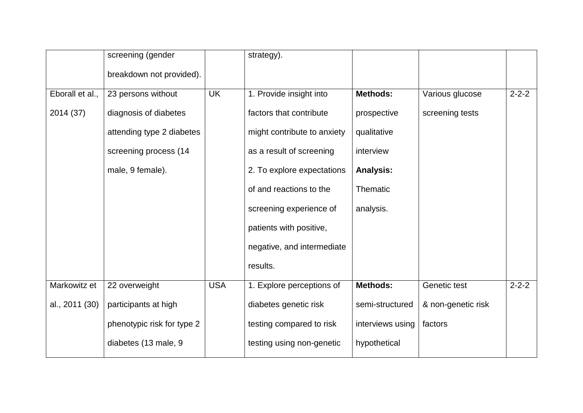|                 | screening (gender          |            | strategy).                  |                  |                    |             |
|-----------------|----------------------------|------------|-----------------------------|------------------|--------------------|-------------|
|                 | breakdown not provided).   |            |                             |                  |                    |             |
| Eborall et al., | 23 persons without         | <b>UK</b>  | 1. Provide insight into     | <b>Methods:</b>  | Various glucose    | $2 - 2 - 2$ |
| 2014 (37)       | diagnosis of diabetes      |            | factors that contribute     | prospective      | screening tests    |             |
|                 | attending type 2 diabetes  |            | might contribute to anxiety | qualitative      |                    |             |
|                 | screening process (14      |            | as a result of screening    | interview        |                    |             |
|                 | male, 9 female).           |            | 2. To explore expectations  | <b>Analysis:</b> |                    |             |
|                 |                            |            | of and reactions to the     | Thematic         |                    |             |
|                 |                            |            | screening experience of     | analysis.        |                    |             |
|                 |                            |            | patients with positive,     |                  |                    |             |
|                 |                            |            | negative, and intermediate  |                  |                    |             |
|                 |                            |            | results.                    |                  |                    |             |
| Markowitz et    | 22 overweight              | <b>USA</b> | 1. Explore perceptions of   | <b>Methods:</b>  | Genetic test       | $2 - 2 - 2$ |
| al., 2011 (30)  | participants at high       |            | diabetes genetic risk       | semi-structured  | & non-genetic risk |             |
|                 | phenotypic risk for type 2 |            | testing compared to risk    | interviews using | factors            |             |
|                 | diabetes (13 male, 9       |            | testing using non-genetic   | hypothetical     |                    |             |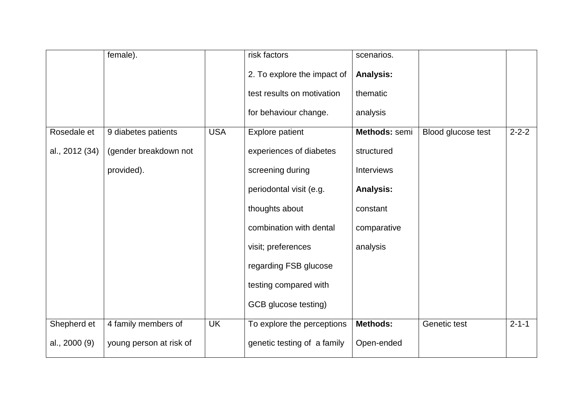|                | female).                |            | risk factors                | scenarios.        |                    |             |
|----------------|-------------------------|------------|-----------------------------|-------------------|--------------------|-------------|
|                |                         |            | 2. To explore the impact of | <b>Analysis:</b>  |                    |             |
|                |                         |            | test results on motivation  | thematic          |                    |             |
|                |                         |            | for behaviour change.       | analysis          |                    |             |
| Rosedale et    | 9 diabetes patients     | <b>USA</b> | <b>Explore patient</b>      | Methods: semi     | Blood glucose test | $2 - 2 - 2$ |
| al., 2012 (34) | (gender breakdown not   |            | experiences of diabetes     | structured        |                    |             |
|                | provided).              |            | screening during            | <b>Interviews</b> |                    |             |
|                |                         |            | periodontal visit (e.g.     | <b>Analysis:</b>  |                    |             |
|                |                         |            | thoughts about              | constant          |                    |             |
|                |                         |            | combination with dental     | comparative       |                    |             |
|                |                         |            | visit; preferences          | analysis          |                    |             |
|                |                         |            | regarding FSB glucose       |                   |                    |             |
|                |                         |            | testing compared with       |                   |                    |             |
|                |                         |            | GCB glucose testing)        |                   |                    |             |
| Shepherd et    | 4 family members of     | <b>UK</b>  | To explore the perceptions  | <b>Methods:</b>   | Genetic test       | $2 - 1 - 1$ |
| al., 2000 (9)  | young person at risk of |            | genetic testing of a family | Open-ended        |                    |             |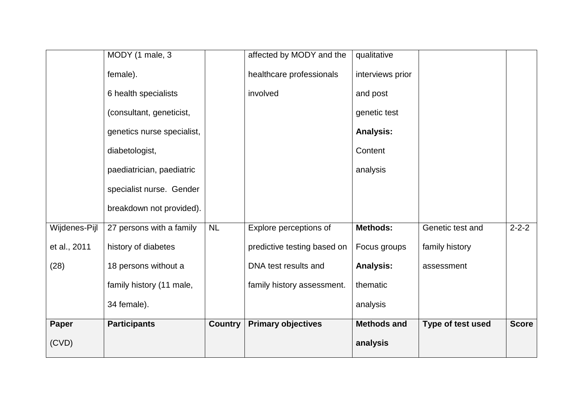|               | MODY (1 male, 3            |                | affected by MODY and the    | qualitative        |                   |              |
|---------------|----------------------------|----------------|-----------------------------|--------------------|-------------------|--------------|
|               | female).                   |                | healthcare professionals    | interviews prior   |                   |              |
|               | 6 health specialists       |                | involved                    | and post           |                   |              |
|               | (consultant, geneticist,   |                |                             | genetic test       |                   |              |
|               | genetics nurse specialist, |                |                             | <b>Analysis:</b>   |                   |              |
|               | diabetologist,             |                |                             | Content            |                   |              |
|               | paediatrician, paediatric  |                |                             | analysis           |                   |              |
|               | specialist nurse. Gender   |                |                             |                    |                   |              |
|               | breakdown not provided).   |                |                             |                    |                   |              |
| Wijdenes-Pijl | 27 persons with a family   | <b>NL</b>      | Explore perceptions of      | <b>Methods:</b>    | Genetic test and  | $2 - 2 - 2$  |
| et al., 2011  | history of diabetes        |                | predictive testing based on | Focus groups       | family history    |              |
| (28)          | 18 persons without a       |                | DNA test results and        | <b>Analysis:</b>   | assessment        |              |
|               | family history (11 male,   |                | family history assessment.  | thematic           |                   |              |
|               | 34 female).                |                |                             | analysis           |                   |              |
| Paper         | <b>Participants</b>        | <b>Country</b> | <b>Primary objectives</b>   | <b>Methods and</b> | Type of test used | <b>Score</b> |
| (CVD)         |                            |                |                             | analysis           |                   |              |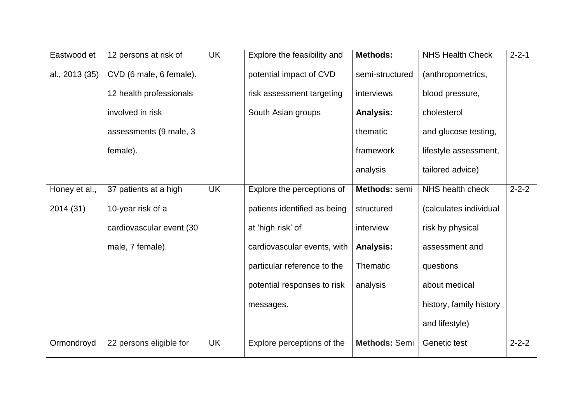| Eastwood et    | 12 persons at risk of    | <b>UK</b> | Explore the feasibility and  | <b>Methods:</b>  | <b>NHS Health Check</b> | $2 - 2 - 1$ |
|----------------|--------------------------|-----------|------------------------------|------------------|-------------------------|-------------|
| al., 2013 (35) | CVD (6 male, 6 female).  |           | potential impact of CVD      | semi-structured  | (anthropometrics,       |             |
|                | 12 health professionals  |           | risk assessment targeting    | interviews       | blood pressure,         |             |
|                | involved in risk         |           | South Asian groups           | <b>Analysis:</b> | cholesterol             |             |
|                | assessments (9 male, 3   |           |                              | thematic         | and glucose testing,    |             |
|                | female).                 |           |                              | framework        | lifestyle assessment,   |             |
|                |                          |           |                              | analysis         | tailored advice)        |             |
| Honey et al.,  | 37 patients at a high    | <b>UK</b> | Explore the perceptions of   | Methods: semi    | NHS health check        | $2 - 2 - 2$ |
| 2014 (31)      | 10-year risk of a        |           | patients identified as being | structured       | (calculates individual  |             |
|                | cardiovascular event (30 |           | at 'high risk' of            | interview        | risk by physical        |             |
|                | male, 7 female).         |           | cardiovascular events, with  | <b>Analysis:</b> | assessment and          |             |
|                |                          |           | particular reference to the  | Thematic         | questions               |             |
|                |                          |           | potential responses to risk  | analysis         | about medical           |             |
|                |                          |           | messages.                    |                  | history, family history |             |
|                |                          |           |                              |                  | and lifestyle)          |             |
| Ormondroyd     | 22 persons eligible for  | <b>UK</b> | Explore perceptions of the   | Methods: Semi    | Genetic test            | $2 - 2 - 2$ |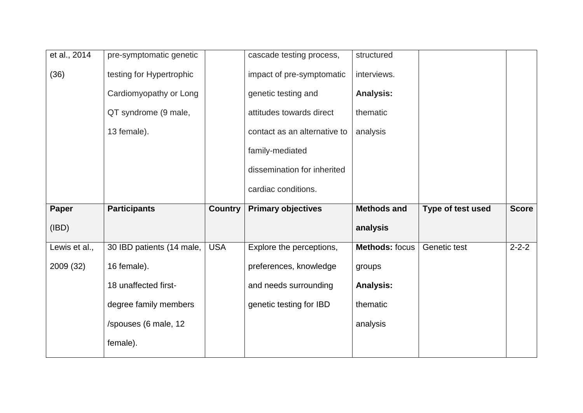| et al., 2014  | pre-symptomatic genetic   |                | cascade testing process,     | structured            |                   |              |
|---------------|---------------------------|----------------|------------------------------|-----------------------|-------------------|--------------|
| (36)          | testing for Hypertrophic  |                | impact of pre-symptomatic    | interviews.           |                   |              |
|               | Cardiomyopathy or Long    |                | genetic testing and          | <b>Analysis:</b>      |                   |              |
|               | QT syndrome (9 male,      |                | attitudes towards direct     | thematic              |                   |              |
|               | 13 female).               |                | contact as an alternative to | analysis              |                   |              |
|               |                           |                | family-mediated              |                       |                   |              |
|               |                           |                | dissemination for inherited  |                       |                   |              |
|               |                           |                | cardiac conditions.          |                       |                   |              |
|               |                           |                |                              |                       |                   |              |
| <b>Paper</b>  | <b>Participants</b>       | <b>Country</b> | <b>Primary objectives</b>    | <b>Methods and</b>    | Type of test used | <b>Score</b> |
| (IBD)         |                           |                |                              | analysis              |                   |              |
| Lewis et al., | 30 IBD patients (14 male, | <b>USA</b>     | Explore the perceptions,     | <b>Methods: focus</b> | Genetic test      | $2 - 2 - 2$  |
| 2009 (32)     | 16 female).               |                | preferences, knowledge       | groups                |                   |              |
|               | 18 unaffected first-      |                | and needs surrounding        | <b>Analysis:</b>      |                   |              |
|               | degree family members     |                | genetic testing for IBD      | thematic              |                   |              |
|               | /spouses (6 male, 12      |                |                              | analysis              |                   |              |